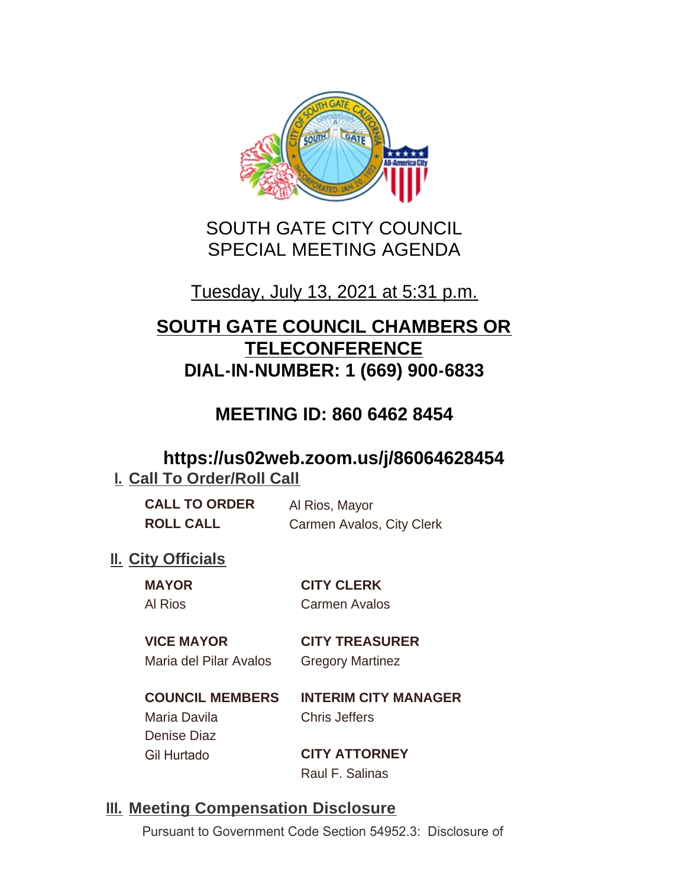

# SOUTH GATE CITY COUNCIL SPECIAL MEETING AGENDA

# Tuesday, July 13, 2021 at 5:31 p.m.

# **SOUTH GATE COUNCIL CHAMBERS OR TELECONFERENCE DIAL-IN-NUMBER: 1 (669) 900-6833**

# **MEETING ID: 860 6462 8454**

## **https://us02web.zoom.us/j/86064628454 I. Call To Order/Roll Call**

| <b>CALL TO ORDER</b> | Al Rios, Mayor            |
|----------------------|---------------------------|
| <b>ROLL CALL</b>     | Carmen Avalos, City Clerk |

## **II.** City Officials

**MAYOR CITY CLERK** Al Rios Carmen Avalos

### **VICE MAYOR CITY TREASURER**

Maria del Pilar Avalos Gregory Martinez

**COUNCIL MEMBERS INTERIM CITY MANAGER** Maria Davila Chris Jeffers Denise Diaz

Gil Hurtado **CITY ATTORNEY** Raul F. Salinas

### **Meeting Compensation Disclosure III.**

Pursuant to Government Code Section 54952.3: Disclosure of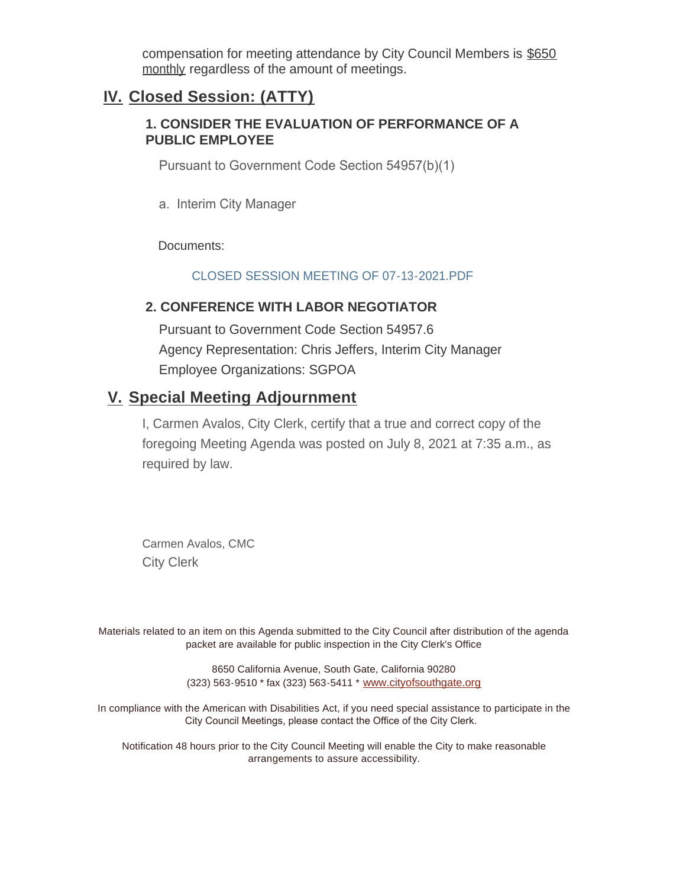compensation for meeting attendance by City Council Members is \$650 monthly regardless of the amount of meetings.

### **Closed Session: (ATTY) IV.**

#### **1. CONSIDER THE EVALUATION OF PERFORMANCE OF A PUBLIC EMPLOYEE**

Pursuant to Government Code Section 54957(b)(1)

a. Interim City Manager

Documents:

#### CLOSED SESSION MEETING OF 07-13-2021 PDF

#### **2. CONFERENCE WITH LABOR NEGOTIATOR**

Pursuant to Government Code Section 54957.6 Agency Representation: Chris Jeffers, Interim City Manager Employee Organizations: SGPOA

### **Special Meeting Adjournment V.**

I, Carmen Avalos, City Clerk, certify that a true and correct copy of the foregoing Meeting Agenda was posted on July 8, 2021 at 7:35 a.m., as required by law.

Carmen Avalos, CMC City Clerk

Materials related to an item on this Agenda submitted to the City Council after distribution of the agenda packet are available for public inspection in the City Clerk's Office

> 8650 California Avenue, South Gate, California 90280 (323) 563-9510 \* fax (323) 563-5411 \* [www.cityofsouthgate.org](http://www.cityofsouthgate.org/)

In compliance with the American with Disabilities Act, if you need special assistance to participate in the City Council Meetings, please contact the Office of the City Clerk.

Notification 48 hours prior to the City Council Meeting will enable the City to make reasonable arrangements to assure accessibility.